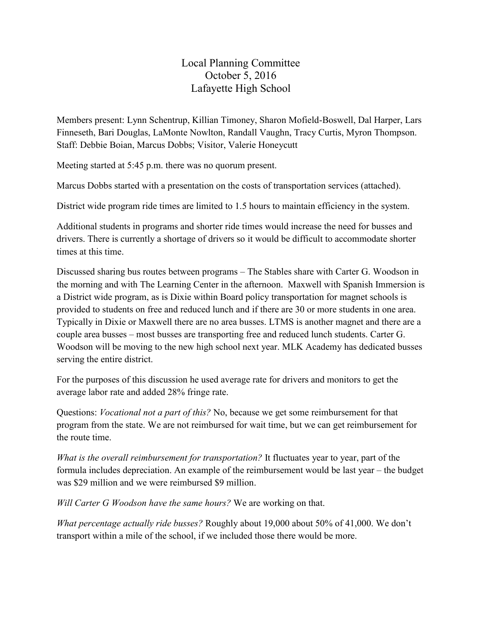Local Planning Committee October 5, 2016 Lafayette High School

Members present: Lynn Schentrup, Killian Timoney, Sharon Mofield-Boswell, Dal Harper, Lars Finneseth, Bari Douglas, LaMonte Nowlton, Randall Vaughn, Tracy Curtis, Myron Thompson. Staff: Debbie Boian, Marcus Dobbs; Visitor, Valerie Honeycutt

Meeting started at 5:45 p.m. there was no quorum present.

Marcus Dobbs started with a presentation on the costs of transportation services (attached).

District wide program ride times are limited to 1.5 hours to maintain efficiency in the system.

Additional students in programs and shorter ride times would increase the need for busses and drivers. There is currently a shortage of drivers so it would be difficult to accommodate shorter times at this time.

Discussed sharing bus routes between programs – The Stables share with Carter G. Woodson in the morning and with The Learning Center in the afternoon. Maxwell with Spanish Immersion is a District wide program, as is Dixie within Board policy transportation for magnet schools is provided to students on free and reduced lunch and if there are 30 or more students in one area. Typically in Dixie or Maxwell there are no area busses. LTMS is another magnet and there are a couple area busses – most busses are transporting free and reduced lunch students. Carter G. Woodson will be moving to the new high school next year. MLK Academy has dedicated busses serving the entire district.

For the purposes of this discussion he used average rate for drivers and monitors to get the average labor rate and added 28% fringe rate.

Questions: *Vocational not a part of this?* No, because we get some reimbursement for that program from the state. We are not reimbursed for wait time, but we can get reimbursement for the route time.

*What is the overall reimbursement for transportation?* It fluctuates year to year, part of the formula includes depreciation. An example of the reimbursement would be last year – the budget was \$29 million and we were reimbursed \$9 million.

*Will Carter G Woodson have the same hours?* We are working on that.

*What percentage actually ride busses?* Roughly about 19,000 about 50% of 41,000. We don't transport within a mile of the school, if we included those there would be more.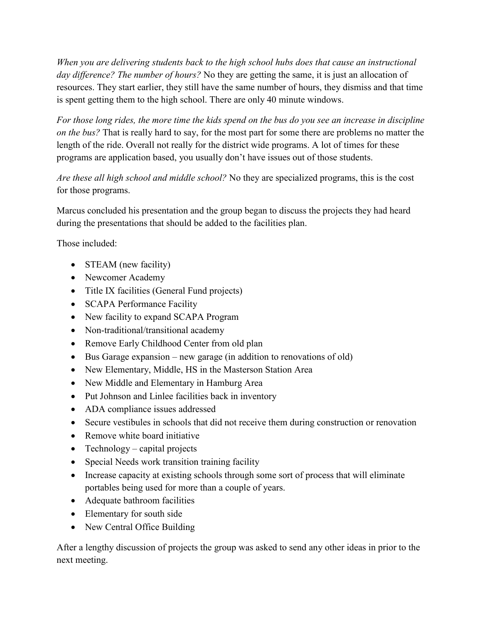*When you are delivering students back to the high school hubs does that cause an instructional day difference? The number of hours?* No they are getting the same, it is just an allocation of resources. They start earlier, they still have the same number of hours, they dismiss and that time is spent getting them to the high school. There are only 40 minute windows.

*For those long rides, the more time the kids spend on the bus do you see an increase in discipline on the bus?* That is really hard to say, for the most part for some there are problems no matter the length of the ride. Overall not really for the district wide programs. A lot of times for these programs are application based, you usually don't have issues out of those students.

*Are these all high school and middle school?* No they are specialized programs, this is the cost for those programs.

Marcus concluded his presentation and the group began to discuss the projects they had heard during the presentations that should be added to the facilities plan.

Those included:

- STEAM (new facility)
- Newcomer Academy
- Title IX facilities (General Fund projects)
- SCAPA Performance Facility
- New facility to expand SCAPA Program
- Non-traditional/transitional academy
- Remove Early Childhood Center from old plan
- Bus Garage expansion new garage (in addition to renovations of old)
- New Elementary, Middle, HS in the Masterson Station Area
- New Middle and Elementary in Hamburg Area
- Put Johnson and Linlee facilities back in inventory
- ADA compliance issues addressed
- Secure vestibules in schools that did not receive them during construction or renovation
- Remove white board initiative
- Technology capital projects
- Special Needs work transition training facility
- Increase capacity at existing schools through some sort of process that will eliminate portables being used for more than a couple of years.
- Adequate bathroom facilities
- Elementary for south side
- New Central Office Building

After a lengthy discussion of projects the group was asked to send any other ideas in prior to the next meeting.